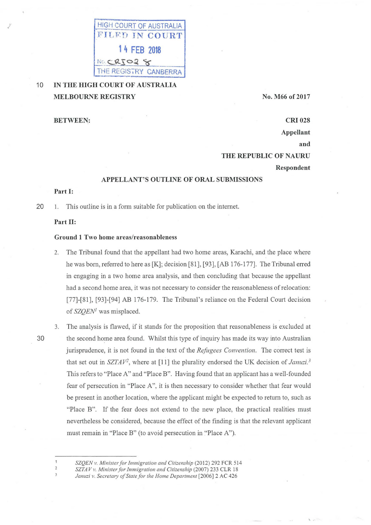

## 10 **IN THE HIGH COURT OF AUSTRALIA MELBOURNE REGISTRY**

**No. M66 of 2017** 

**BETWEEN:** 

# **CRI 028 Appellant and THE REPUBLIC OF NAURU Respondent**

### **APPELLANT'S OUTLINE OF ORAL SUBMISSIONS**

#### **Part I:**

20 1. This outline is in a form suitable for publication on the internet

#### **Part 11:**

#### **Ground 1 Two home areas/reasonableness**

- 2. The Tribunal found that the appellant had two home areas, Karachi, and the place where he was born, referred to here as [K]; decision [81], [93], [AB 176-177]. The Tribunal erred in engaging in a two home area analysis, and then concluding that because the appellant had a second home area, it was not necessary to consider the reasonableness of relocation: [77]-[81], [93]-[94] AB 176-179. The Tribunal's reliance on the Federal Court decision of *SZQEN<sup>1</sup>* was misplaced.
- 

 $\mathbf{1}$  $\overline{2}$  $\overline{3}$ 

3. The analysis is flawed, if it stands for the proposition that reasonableness is excluded at 30 the second home area found . Whilst this type of inquiry has made its way into Australian jurisprudence, it is not found in the text of the *Refugees Convention*. The correct test is that set out in  $SZTAV^2$ , where at [11] the plurality endorsed the UK decision of *Januzi*.<sup>3</sup> This refers to "Place A" and "Place B" . Having found that an applicant has a well-founded fear of persecution in "Place A", it is then necessary to consider whether that fear would be present in another location, where the applicant might be expected to return to, such as "Place B". If the fear does not extend to the new place, the practical realities must nevertheless be considered, because the effect of the finding is that the relevant applicant must remain in "Place B" (to avoid persecution in "Place A").

*SZQEN v. Minister for Immigration and Citizenship* (2012) 292 FCR 514

*SZTAV v. Minister for Immigration and Citizenship (2007) 233 CLR 18* Januzi v. Secretary of State for the Home Department [2006] 2 AC 426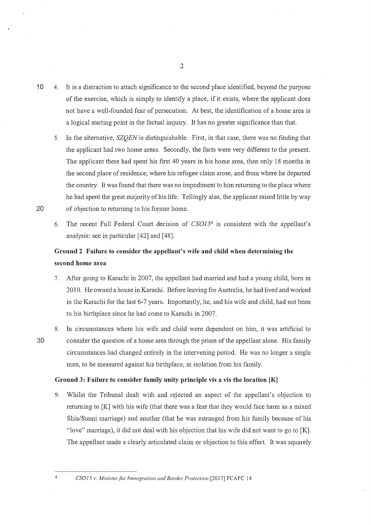- 10 4. It is a distraction to attach significance to the second place identified, beyond the purpose of the exercise, which is simply to identify a place, if it exists, where the applicant does not have a well-founded fear of persecution. At best, the identification of a home area is a logical starting point in the factual inquiry. It has no greater significance than that.
- 5. In the alternative, *SZQEN* is distinguishable. First, in that case, there was no finding that the applicant had two home areas. Secondly, the facts were very different to the present. The applicant there had spent his first 40 years in his home area, then only 18 months in the second place of residence, where his refugee claim arose, and from where he departed the country. It was found that there was no impediment to him returning to the place where he had spent the great majority of his life. Tellingly also, the applicant raised little by way 20 of objection to returning to his former home.
	- 6. The recent Full Federal Court decision of  $CSO15<sup>4</sup>$  is consistent with the appellant's analysis: see in particular [42] and [48].

## **Ground 2 Failure to consider the appellant's wife and child when determining the second home area**

- 7. After going to Karachi in 2007, the appellant had married and had a young child, born in 2010. He owned a house in Karachi. Before leaving for Australia, he had lived and worked in the Karachi for the last 6-7 years. Importantly, he, and his wife and child, had not been to his birthplace since he had come to Karachi in 2007.
- 8. In circumstances where his wife and child were dependent on him, it was artificial to 30 consider the question of a home area through the prism of the appellant alone. His family circumstances had changed entirely in the intervening period. He was no longer a single man, to be measured against his birthplace, in isolation from his family.

#### **Ground 3: Failure to consider family unity principle vis a vis the location [K]**

9. Whilst the Tribunal dealt with and rejected an aspect of the appellant's objection to returning to [K] with his wife (that there was a fear that they would face harm as a mixed Shia/Sunni marriage) and another (that he was estranged from his family because of his "love" marriage), it did not deal with his objection that his wife did not want to go to [K]. The appellant made a clearly articulated claim or objection to this effect. It was squarely

<sup>4</sup>*CSO 15 v. Minister for immigration and Border Protection* [20 17] FCAFC 14